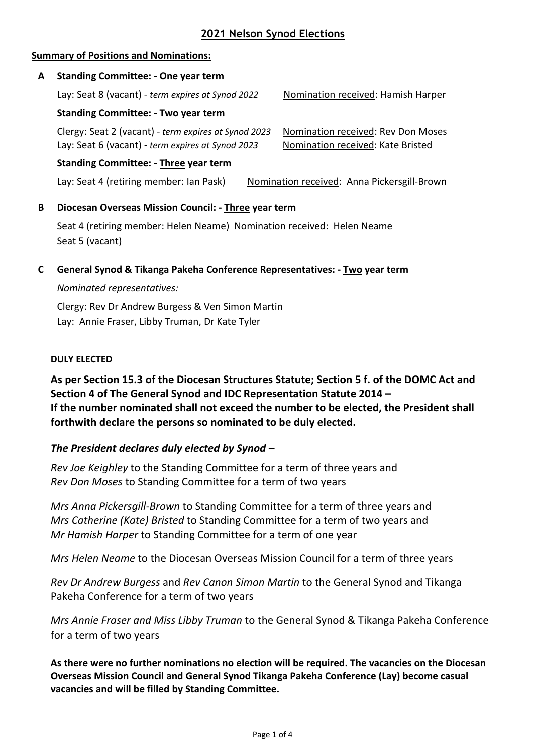# **2021 Nelson Synod Elections**

## **Summary of Positions and Nominations:**

# **A Standing Committee: - One year term** Lay: Seat 8 (vacant) *- term expires at Synod 2022* Nomination received: Hamish Harper **Standing Committee: - Two year term** Clergy: Seat 2 (vacant) - *term expires at Synod 2023* Nomination received: Rev Don Moses Lay: Seat 6 (vacant) *- term expires at Synod 2023* Nomination received: Kate Bristed **Standing Committee: - Three year term** Lay: Seat 4 (retiring member: Ian Pask) Nomination received: Anna Pickersgill-Brown **B Diocesan Overseas Mission Council: - Three year term** Seat 4 (retiring member: Helen Neame) Nomination received: Helen Neame Seat 5 (vacant)

**C General Synod & Tikanga Pakeha Conference Representatives: - Two year term**

# *Nominated representatives:*

Clergy: Rev Dr Andrew Burgess & Ven Simon Martin Lay: Annie Fraser, Libby Truman, Dr Kate Tyler

#### **DULY ELECTED**

**As per Section 15.3 of the Diocesan Structures Statute; Section 5 f. of the DOMC Act and Section 4 of The General Synod and IDC Representation Statute 2014 – If the number nominated shall not exceed the number to be elected, the President shall forthwith declare the persons so nominated to be duly elected.** 

# *The President declares duly elected by Synod –*

*Rev Joe Keighley* to the Standing Committee for a term of three years and *Rev Don Moses* to Standing Committee for a term of two years

*Mrs Anna Pickersgill-Brown* to Standing Committee for a term of three years and *Mrs Catherine (Kate) Bristed* to Standing Committee for a term of two years and *Mr Hamish Harper* to Standing Committee for a term of one year

*Mrs Helen Neame* to the Diocesan Overseas Mission Council for a term of three years

*Rev Dr Andrew Burgess* and *Rev Canon Simon Martin* to the General Synod and Tikanga Pakeha Conference for a term of two years

*Mrs Annie Fraser and Miss Libby Truman* to the General Synod & Tikanga Pakeha Conference for a term of two years

**As there were no further nominations no election will be required. The vacancies on the Diocesan Overseas Mission Council and General Synod Tikanga Pakeha Conference (Lay) become casual vacancies and will be filled by Standing Committee.**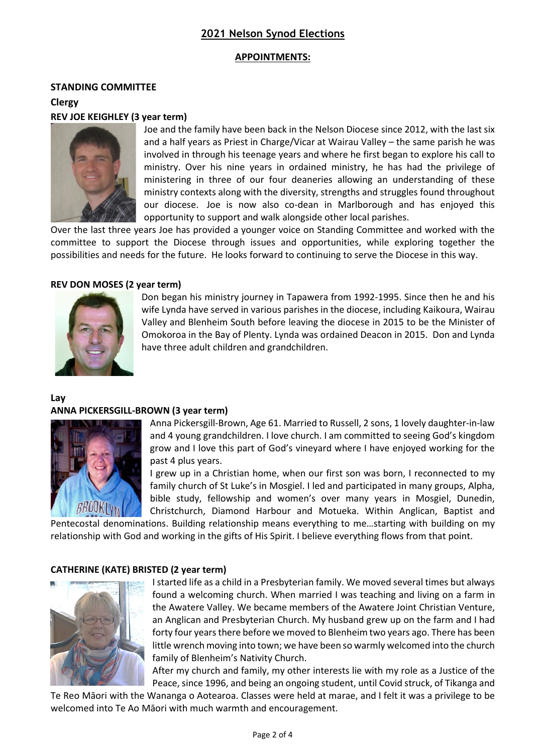# **2021 Nelson Synod Elections**

#### **APPOINTMENTS:**

#### **STANDING COMMITTEE**

**Clergy** 

#### **REV JOE KEIGHLEY (3 year term)**



Joe and the family have been back in the Nelson Diocese since 2012, with the last six and a half years as Priest in Charge/Vicar at Wairau Valley – the same parish he was involved in through his teenage years and where he first began to explore his call to ministry. Over his nine years in ordained ministry, he has had the privilege of ministering in three of our four deaneries allowing an understanding of these ministry contexts along with the diversity, strengths and struggles found throughout our diocese. Joe is now also co-dean in Marlborough and has enjoyed this opportunity to support and walk alongside other local parishes.

Over the last three years Joe has provided a younger voice on Standing Committee and worked with the committee to support the Diocese through issues and opportunities, while exploring together the possibilities and needs for the future. He looks forward to continuing to serve the Diocese in this way.

#### **REV DON MOSES (2 year term)**



Don began his ministry journey in Tapawera from 1992-1995. Since then he and his wife Lynda have served in various parishes in the diocese, including Kaikoura, Wairau Valley and Blenheim South before leaving the diocese in 2015 to be the Minister of Omokoroa in the Bay of Plenty. Lynda was ordained Deacon in 2015. Don and Lynda have three adult children and grandchildren.

**Lay**

#### **ANNA PICKERSGILL-BROWN (3 year term)**



Anna Pickersgill-Brown, Age 61. Married to Russell, 2 sons, 1 lovely daughter-in-law and 4 young grandchildren. I love church. I am committed to seeing God's kingdom grow and I love this part of God's vineyard where I have enjoyed working for the past 4 plus years.

I grew up in a Christian home, when our first son was born, I reconnected to my family church of St Luke's in Mosgiel. I led and participated in many groups, Alpha, bible study, fellowship and women's over many years in Mosgiel, Dunedin, Christchurch, Diamond Harbour and Motueka. Within Anglican, Baptist and

Pentecostal denominations. Building relationship means everything to me…starting with building on my relationship with God and working in the gifts of His Spirit. I believe everything flows from that point.

#### **CATHERINE (KATE) BRISTED (2 year term)**



I started life as a child in a Presbyterian family. We moved several times but always found a welcoming church. When married I was teaching and living on a farm in the Awatere Valley. We became members of the Awatere Joint Christian Venture, an Anglican and Presbyterian Church. My husband grew up on the farm and I had forty four years there before we moved to Blenheim two years ago. There has been little wrench moving into town; we have been so warmly welcomed into the church family of Blenheim's Nativity Church.

After my church and family, my other interests lie with my role as a Justice of the Peace, since 1996, and being an ongoing student, until Covid struck, of Tikanga and

Te Reo Māori with the Wananga o Aotearoa. Classes were held at marae, and I felt it was a privilege to be welcomed into Te Ao Māori with much warmth and encouragement.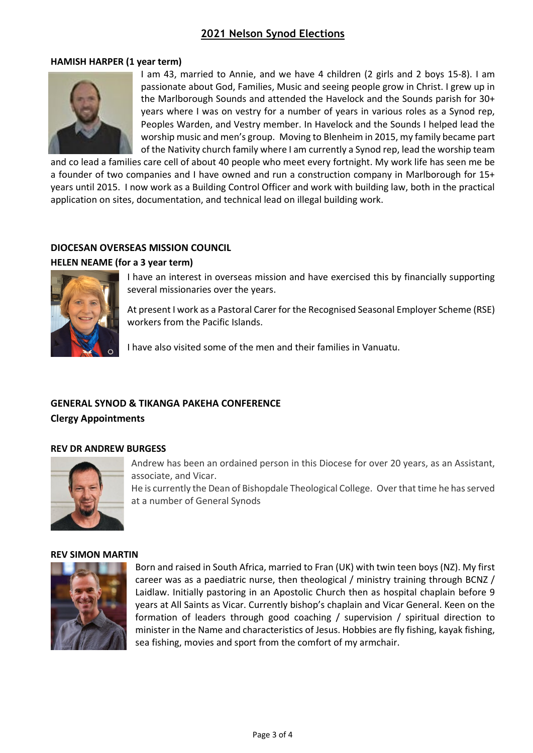# **2021 Nelson Synod Elections**

#### **HAMISH HARPER (1 year term)**



I am 43, married to Annie, and we have 4 children (2 girls and 2 boys 15-8). I am passionate about God, Families, Music and seeing people grow in Christ. I grew up in the Marlborough Sounds and attended the Havelock and the Sounds parish for 30+ years where I was on vestry for a number of years in various roles as a Synod rep, Peoples Warden, and Vestry member. In Havelock and the Sounds I helped lead the worship music and men's group. Moving to Blenheim in 2015, my family became part of the Nativity church family where I am currently a Synod rep, lead the worship team

and co lead a families care cell of about 40 people who meet every fortnight. My work life has seen me be a founder of two companies and I have owned and run a construction company in Marlborough for 15+ years until 2015. I now work as a Building Control Officer and work with building law, both in the practical application on sites, documentation, and technical lead on illegal building work.

# **DIOCESAN OVERSEAS MISSION COUNCIL**

## **HELEN NEAME (for a 3 year term)**



I have an interest in overseas mission and have exercised this by financially supporting several missionaries over the years.

At present I work as a Pastoral Carer for the Recognised Seasonal Employer Scheme (RSE) workers from the Pacific Islands.

I have also visited some of the men and their families in Vanuatu.

# **GENERAL SYNOD & TIKANGA PAKEHA CONFERENCE**

**Clergy Appointments**

#### **REV DR ANDREW BURGESS**



Andrew has been an ordained person in this Diocese for over 20 years, as an Assistant, associate, and Vicar.

He is currently the Dean of Bishopdale Theological College. Over that time he has served at a number of General Synods

#### **REV SIMON MARTIN**



Born and raised in South Africa, married to Fran (UK) with twin teen boys (NZ). My first career was as a paediatric nurse, then theological / ministry training through BCNZ / Laidlaw. Initially pastoring in an Apostolic Church then as hospital chaplain before 9 years at All Saints as Vicar. Currently bishop's chaplain and Vicar General. Keen on the formation of leaders through good coaching / supervision / spiritual direction to minister in the Name and characteristics of Jesus. Hobbies are fly fishing, kayak fishing, sea fishing, movies and sport from the comfort of my armchair.